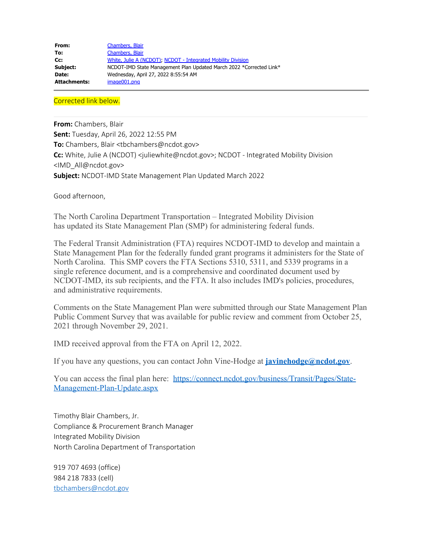| From:        | Chambers, Blair                                                     |
|--------------|---------------------------------------------------------------------|
| To:          | Chambers, Blair                                                     |
| Cc:          | White, Julie A (NCDOT), NCDOT - Integrated Mobility Division        |
| Subject:     | NCDOT-IMD State Management Plan Updated March 2022 *Corrected Link* |
| Date:        | Wednesday, April 27, 2022 8:55:54 AM                                |
| Attachments: | image001.png                                                        |

Corrected link below.

**From:** Chambers, Blair

**Sent:** Tuesday, April 26, 2022 12:55 PM **To:** Chambers, Blair <tbchambers@ncdot.gov> **Cc:** White, Julie A (NCDOT) <juliewhite@ncdot.gov>; NCDOT - Integrated Mobility Division <IMD\_All@ncdot.gov> **Subject:** NCDOT-IMD State Management Plan Updated March 2022

Good afternoon,

The North Carolina Department Transportation – Integrated Mobility Division has updated its State Management Plan (SMP) for administering federal funds.

The Federal Transit Administration (FTA) requires NCDOT-IMD to develop and maintain a State Management Plan for the federally funded grant programs it administers for the State of North Carolina. This SMP covers the FTA Sections 5310, 5311, and 5339 programs in a single reference document, and is a comprehensive and coordinated document used by NCDOT-IMD, its sub recipients, and the FTA. It also includes IMD's policies, procedures, and administrative requirements.

Comments on the State Management Plan were submitted through our State Management Plan Public Comment Survey that was available for public review and comment from October 25, 2021 through November 29, 2021.

IMD received approval from the FTA on April 12, 2022.

If you have any questions, you can contact John Vine-Hodge at **[javinehodge@ncdot.gov](mailto:javinehodge@ncdot.gov)**.

You can access the final plan here: [https://connect.ncdot.gov/business/Transit/Pages/State-](https://connect.ncdot.gov/business/Transit/Pages/State-Management-Plan-Update.aspx)[Management-Plan-Update.aspx](https://connect.ncdot.gov/business/Transit/Pages/State-Management-Plan-Update.aspx)

Timothy Blair Chambers, Jr. Compliance & Procurement Branch Manager Integrated Mobility Division North Carolina Department of Transportation

919 707 4693 (office) 984 218 7833 (cell) [tbchambers@ncdot.gov](mailto:tbchambers@ncdot.gov)